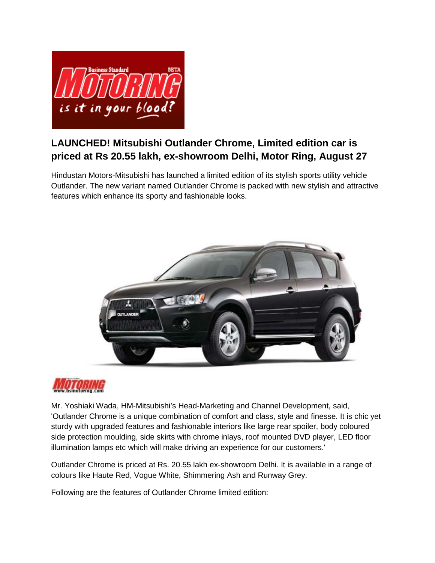

## **LAUNCHED! Mitsubishi Outlander Chrome, Limited edition car is priced at Rs 20.55 lakh, ex-showroom Delhi, Motor Ring, August 27**

Hindustan Motors-Mitsubishi has launched a limited edition of its stylish sports utility vehicle Outlander. The new variant named Outlander Chrome is packed with new stylish and attractive features which enhance its sporty and fashionable looks.





Mr. Yoshiaki Wada, HM-Mitsubishi's Head-Marketing and Channel Development, said, 'Outlander Chrome is a unique combination of comfort and class, style and finesse. It is chic yet sturdy with upgraded features and fashionable interiors like large rear spoiler, body coloured side protection moulding, side skirts with chrome inlays, roof mounted DVD player, LED floor illumination lamps etc which will make driving an experience for our customers.'

Outlander Chrome is priced at Rs. 20.55 lakh ex-showroom Delhi. It is available in a range of colours like Haute Red, Vogue White, Shimmering Ash and Runway Grey.

Following are the features of Outlander Chrome limited edition: